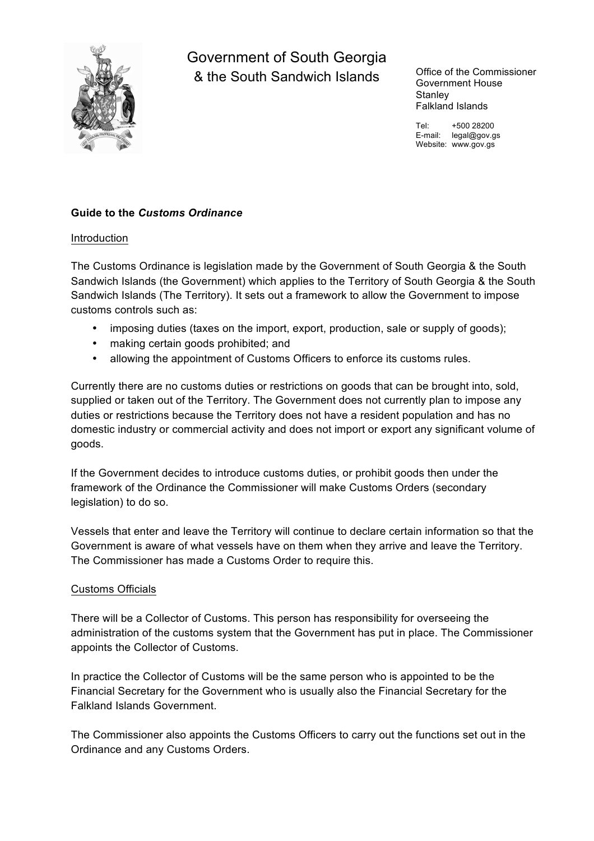

Government of South Georgia & the South Sandwich Islands Office of the Commissioner

Government House **Stanley** Falkland Islands

Tel: +500 28200 E-mail: legal@gov.gs Website: www.gov.gs

# **Guide to the** *Customs Ordinance*

#### Introduction

The Customs Ordinance is legislation made by the Government of South Georgia & the South Sandwich Islands (the Government) which applies to the Territory of South Georgia & the South Sandwich Islands (The Territory). It sets out a framework to allow the Government to impose customs controls such as:

- imposing duties (taxes on the import, export, production, sale or supply of goods);
- making certain goods prohibited; and
- allowing the appointment of Customs Officers to enforce its customs rules.

Currently there are no customs duties or restrictions on goods that can be brought into, sold, supplied or taken out of the Territory. The Government does not currently plan to impose any duties or restrictions because the Territory does not have a resident population and has no domestic industry or commercial activity and does not import or export any significant volume of goods.

If the Government decides to introduce customs duties, or prohibit goods then under the framework of the Ordinance the Commissioner will make Customs Orders (secondary legislation) to do so.

Vessels that enter and leave the Territory will continue to declare certain information so that the Government is aware of what vessels have on them when they arrive and leave the Territory. The Commissioner has made a Customs Order to require this.

#### Customs Officials

There will be a Collector of Customs. This person has responsibility for overseeing the administration of the customs system that the Government has put in place. The Commissioner appoints the Collector of Customs.

In practice the Collector of Customs will be the same person who is appointed to be the Financial Secretary for the Government who is usually also the Financial Secretary for the Falkland Islands Government.

The Commissioner also appoints the Customs Officers to carry out the functions set out in the Ordinance and any Customs Orders.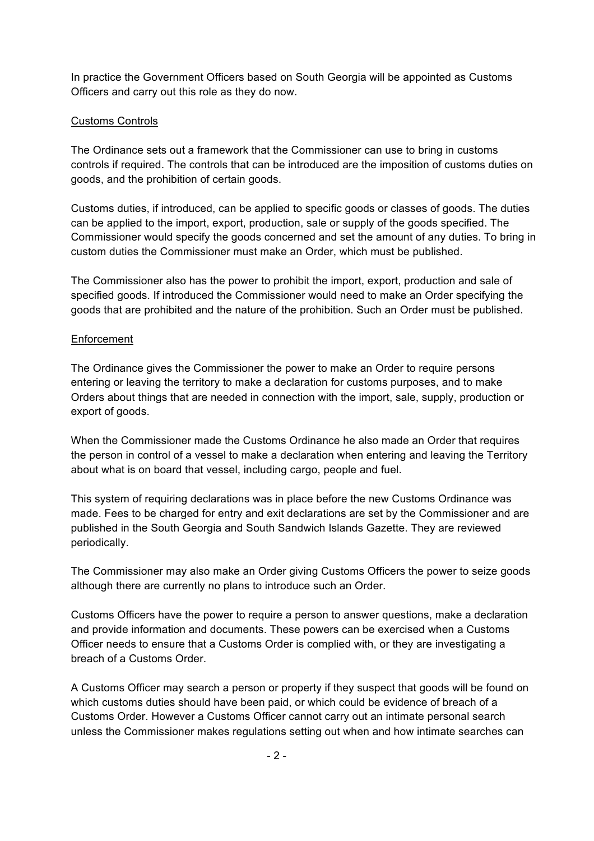In practice the Government Officers based on South Georgia will be appointed as Customs Officers and carry out this role as they do now.

# Customs Controls

The Ordinance sets out a framework that the Commissioner can use to bring in customs controls if required. The controls that can be introduced are the imposition of customs duties on goods, and the prohibition of certain goods.

Customs duties, if introduced, can be applied to specific goods or classes of goods. The duties can be applied to the import, export, production, sale or supply of the goods specified. The Commissioner would specify the goods concerned and set the amount of any duties. To bring in custom duties the Commissioner must make an Order, which must be published.

The Commissioner also has the power to prohibit the import, export, production and sale of specified goods. If introduced the Commissioner would need to make an Order specifying the goods that are prohibited and the nature of the prohibition. Such an Order must be published.

### Enforcement

The Ordinance gives the Commissioner the power to make an Order to require persons entering or leaving the territory to make a declaration for customs purposes, and to make Orders about things that are needed in connection with the import, sale, supply, production or export of goods.

When the Commissioner made the Customs Ordinance he also made an Order that requires the person in control of a vessel to make a declaration when entering and leaving the Territory about what is on board that vessel, including cargo, people and fuel.

This system of requiring declarations was in place before the new Customs Ordinance was made. Fees to be charged for entry and exit declarations are set by the Commissioner and are published in the South Georgia and South Sandwich Islands Gazette. They are reviewed periodically.

The Commissioner may also make an Order giving Customs Officers the power to seize goods although there are currently no plans to introduce such an Order.

Customs Officers have the power to require a person to answer questions, make a declaration and provide information and documents. These powers can be exercised when a Customs Officer needs to ensure that a Customs Order is complied with, or they are investigating a breach of a Customs Order.

A Customs Officer may search a person or property if they suspect that goods will be found on which customs duties should have been paid, or which could be evidence of breach of a Customs Order. However a Customs Officer cannot carry out an intimate personal search unless the Commissioner makes regulations setting out when and how intimate searches can